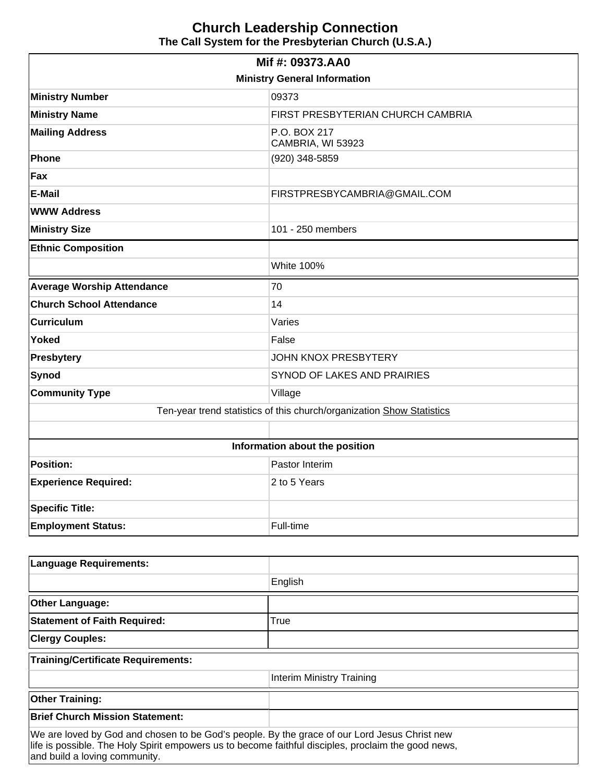## **Church Leadership Connection The Call System for the Presbyterian Church (U.S.A.)**

| Mif #: 09373.AA0                                                      |                                   |  |  |  |  |
|-----------------------------------------------------------------------|-----------------------------------|--|--|--|--|
| <b>Ministry General Information</b>                                   |                                   |  |  |  |  |
| <b>Ministry Number</b>                                                | 09373                             |  |  |  |  |
| <b>Ministry Name</b>                                                  | FIRST PRESBYTERIAN CHURCH CAMBRIA |  |  |  |  |
| <b>Mailing Address</b>                                                | P.O. BOX 217<br>CAMBRIA, WI 53923 |  |  |  |  |
| Phone                                                                 | (920) 348-5859                    |  |  |  |  |
| Fax                                                                   |                                   |  |  |  |  |
| <b>E-Mail</b>                                                         | FIRSTPRESBYCAMBRIA@GMAIL.COM      |  |  |  |  |
| <b>WWW Address</b>                                                    |                                   |  |  |  |  |
| <b>Ministry Size</b>                                                  | 101 - 250 members                 |  |  |  |  |
| <b>Ethnic Composition</b>                                             |                                   |  |  |  |  |
|                                                                       | <b>White 100%</b>                 |  |  |  |  |
| <b>Average Worship Attendance</b>                                     | 70                                |  |  |  |  |
| <b>Church School Attendance</b>                                       | 14                                |  |  |  |  |
| <b>Curriculum</b>                                                     | Varies                            |  |  |  |  |
| <b>Yoked</b>                                                          | False                             |  |  |  |  |
| <b>Presbytery</b>                                                     | <b>JOHN KNOX PRESBYTERY</b>       |  |  |  |  |
| <b>Synod</b>                                                          | SYNOD OF LAKES AND PRAIRIES       |  |  |  |  |
| <b>Community Type</b>                                                 | Village                           |  |  |  |  |
| Ten-year trend statistics of this church/organization Show Statistics |                                   |  |  |  |  |
|                                                                       |                                   |  |  |  |  |
| Information about the position                                        |                                   |  |  |  |  |
| <b>Position:</b>                                                      | Pastor Interim                    |  |  |  |  |
| <b>Experience Required:</b>                                           | 2 to 5 Years                      |  |  |  |  |
| <b>Specific Title:</b>                                                |                                   |  |  |  |  |
| <b>Employment Status:</b>                                             | Full-time                         |  |  |  |  |
|                                                                       |                                   |  |  |  |  |
| $\sim$<br>$\sim$                                                      |                                   |  |  |  |  |

| Language Requirements:                                                                                                                                                                                                               |                           |  |  |  |
|--------------------------------------------------------------------------------------------------------------------------------------------------------------------------------------------------------------------------------------|---------------------------|--|--|--|
|                                                                                                                                                                                                                                      | English                   |  |  |  |
| <b>Other Language:</b>                                                                                                                                                                                                               |                           |  |  |  |
| <b>Statement of Faith Required:</b>                                                                                                                                                                                                  | True                      |  |  |  |
| <b>Clergy Couples:</b>                                                                                                                                                                                                               |                           |  |  |  |
| <b>Training/Certificate Requirements:</b>                                                                                                                                                                                            |                           |  |  |  |
|                                                                                                                                                                                                                                      | Interim Ministry Training |  |  |  |
| <b>Other Training:</b>                                                                                                                                                                                                               |                           |  |  |  |
| <b>Brief Church Mission Statement:</b>                                                                                                                                                                                               |                           |  |  |  |
| We are loved by God and chosen to be God's people. By the grace of our Lord Jesus Christ new<br>life is possible. The Holy Spirit empowers us to become faithful disciples, proclaim the good news,<br>and build a loving community. |                           |  |  |  |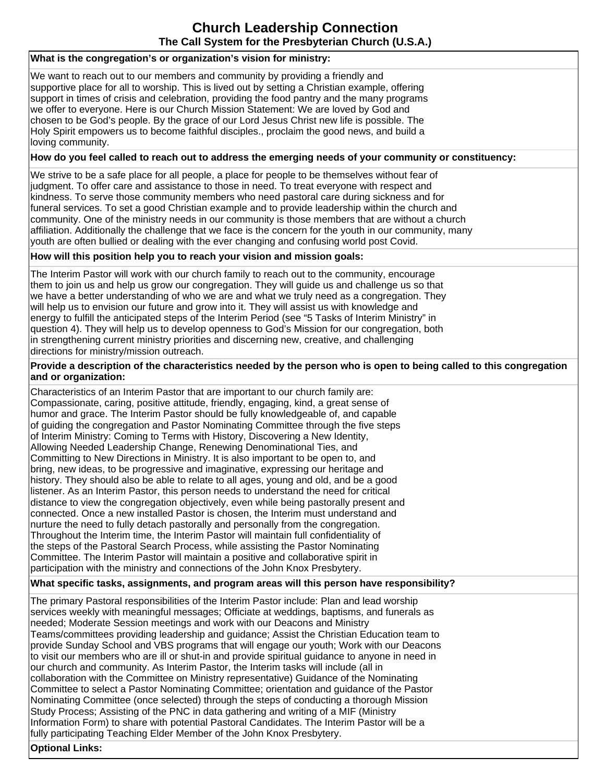# **Church Leadership Connection The Call System for the Presbyterian Church (U.S.A.)**

## **What is the congregation's or organization's vision for ministry:**

We want to reach out to our members and community by providing a friendly and supportive place for all to worship. This is lived out by setting a Christian example, offering support in times of crisis and celebration, providing the food pantry and the many programs we offer to everyone. Here is our Church Mission Statement: We are loved by God and chosen to be God's people. By the grace of our Lord Jesus Christ new life is possible. The Holy Spirit empowers us to become faithful disciples., proclaim the good news, and build a loving community.

## **How do you feel called to reach out to address the emerging needs of your community or constituency:**

We strive to be a safe place for all people, a place for people to be themselves without fear of judgment. To offer care and assistance to those in need. To treat everyone with respect and kindness. To serve those community members who need pastoral care during sickness and for funeral services. To set a good Christian example and to provide leadership within the church and community. One of the ministry needs in our community is those members that are without a church affiliation. Additionally the challenge that we face is the concern for the youth in our community, many youth are often bullied or dealing with the ever changing and confusing world post Covid.

#### **How will this position help you to reach your vision and mission goals:**

The Interim Pastor will work with our church family to reach out to the community, encourage them to join us and help us grow our congregation. They will guide us and challenge us so that we have a better understanding of who we are and what we truly need as a congregation. They will help us to envision our future and grow into it. They will assist us with knowledge and energy to fulfill the anticipated steps of the Interim Period (see "5 Tasks of Interim Ministry" in question 4). They will help us to develop openness to God's Mission for our congregation, both in strengthening current ministry priorities and discerning new, creative, and challenging directions for ministry/mission outreach.

#### **Provide a description of the characteristics needed by the person who is open to being called to this congregation and or organization:**